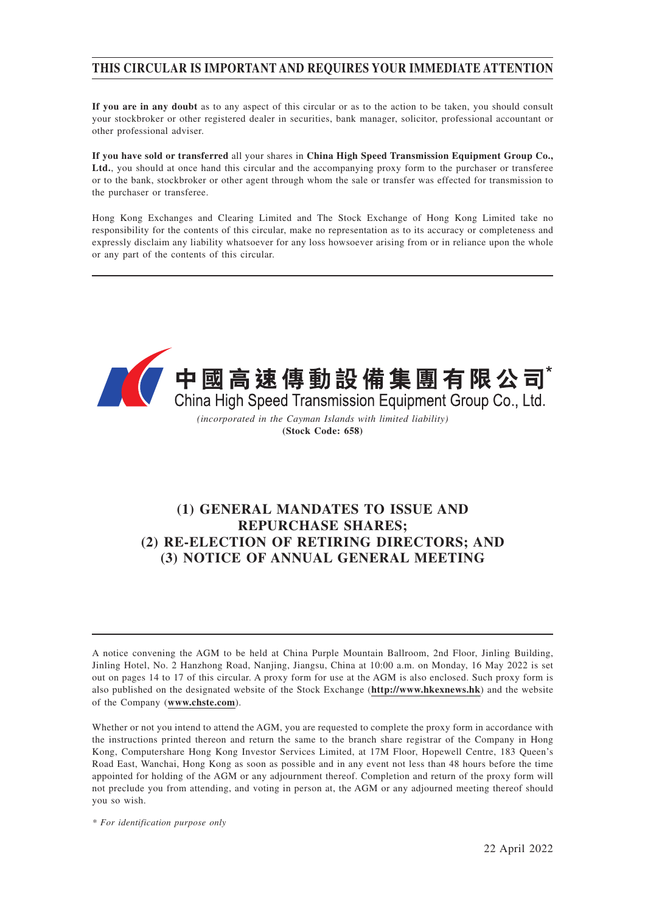# **THIS CIRCULAR IS IMPORTANT AND REQUIRES YOUR IMMEDIATE ATTENTION**

**If you are in any doubt** as to any aspect of this circular or as to the action to be taken, you should consult your stockbroker or other registered dealer in securities, bank manager, solicitor, professional accountant or other professional adviser.

**If you have sold or transferred** all your shares in **China High Speed Transmission Equipment Group Co.,** Ltd., you should at once hand this circular and the accompanying proxy form to the purchaser or transferee or to the bank, stockbroker or other agent through whom the sale or transfer was effected for transmission to the purchaser or transferee.

Hong Kong Exchanges and Clearing Limited and The Stock Exchange of Hong Kong Limited take no responsibility for the contents of this circular, make no representation as to its accuracy or completeness and expressly disclaim any liability whatsoever for any loss howsoever arising from or in reliance upon the whole or any part of the contents of this circular.



**(Stock Code: 658)**

# **(1) GENERAL MANDATES TO ISSUE AND REPURCHASE SHARES; (2) RE-ELECTION OF RETIRING DIRECTORS; AND (3) NOTICE OF ANNUAL GENERAL MEETING**

A notice convening the AGM to be held at China Purple Mountain Ballroom, 2nd Floor, Jinling Building, Jinling Hotel, No. 2 Hanzhong Road, Nanjing, Jiangsu, China at 10:00 a.m. on Monday, 16 May 2022 is set out on pages 14 to 17 of this circular. A proxy form for use at the AGM is also enclosed. Such proxy form is also published on the designated website of the Stock Exchange (**http://www.hkexnews.hk**) and the website of the Company (**www.chste.com**).

Whether or not you intend to attend the AGM, you are requested to complete the proxy form in accordance with the instructions printed thereon and return the same to the branch share registrar of the Company in Hong Kong, Computershare Hong Kong Investor Services Limited, at 17M Floor, Hopewell Centre, 183 Queen's Road East, Wanchai, Hong Kong as soon as possible and in any event not less than 48 hours before the time appointed for holding of the AGM or any adjournment thereof. Completion and return of the proxy form will not preclude you from attending, and voting in person at, the AGM or any adjourned meeting thereof should you so wish.

*\* For identification purpose only*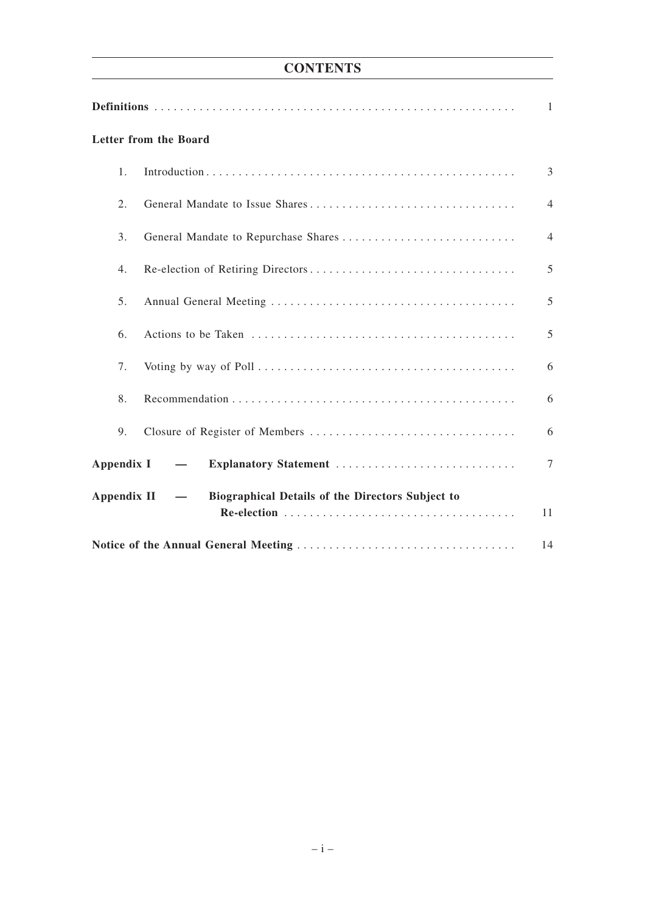# **CONTENTS**

|                                                                               | Letter from the Board                |                |
|-------------------------------------------------------------------------------|--------------------------------------|----------------|
| 1.                                                                            |                                      | 3              |
| 2.                                                                            |                                      | $\overline{4}$ |
| 3.                                                                            | General Mandate to Repurchase Shares | $\overline{4}$ |
| 4.                                                                            |                                      | 5              |
| 5.                                                                            |                                      | 5              |
| 6.                                                                            |                                      | 5              |
| 7.                                                                            |                                      | 6              |
| 8.                                                                            |                                      | 6              |
| 9.                                                                            |                                      | 6              |
| Appendix I                                                                    | Explanatory Statement<br>$\sim$ $-$  | $\tau$         |
| Biographical Details of the Directors Subject to<br>Appendix II<br>$\sim$ $-$ |                                      |                |
|                                                                               |                                      | 11             |
|                                                                               |                                      | 14             |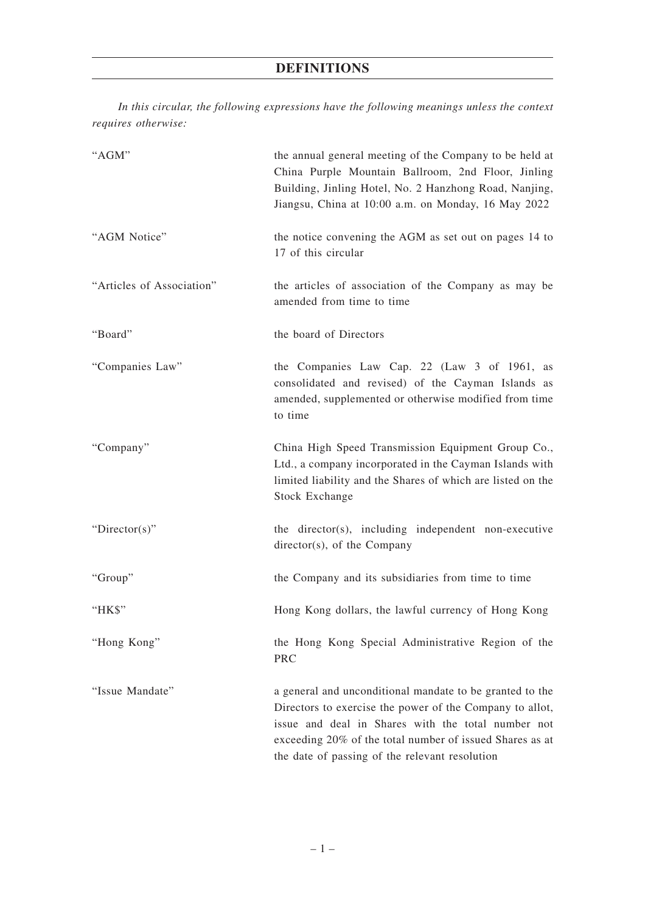*In this circular, the following expressions have the following meanings unless the context requires otherwise:*

| "AGM"                     | the annual general meeting of the Company to be held at<br>China Purple Mountain Ballroom, 2nd Floor, Jinling<br>Building, Jinling Hotel, No. 2 Hanzhong Road, Nanjing,<br>Jiangsu, China at 10:00 a.m. on Monday, 16 May 2022                                                           |
|---------------------------|------------------------------------------------------------------------------------------------------------------------------------------------------------------------------------------------------------------------------------------------------------------------------------------|
| "AGM Notice"              | the notice convening the AGM as set out on pages 14 to<br>17 of this circular                                                                                                                                                                                                            |
| "Articles of Association" | the articles of association of the Company as may be<br>amended from time to time                                                                                                                                                                                                        |
| "Board"                   | the board of Directors                                                                                                                                                                                                                                                                   |
| "Companies Law"           | the Companies Law Cap. 22 (Law 3 of 1961, as<br>consolidated and revised) of the Cayman Islands as<br>amended, supplemented or otherwise modified from time<br>to time                                                                                                                   |
| "Company"                 | China High Speed Transmission Equipment Group Co.,<br>Ltd., a company incorporated in the Cayman Islands with<br>limited liability and the Shares of which are listed on the<br><b>Stock Exchange</b>                                                                                    |
| "Director(s)"             | the director(s), including independent non-executive<br>director(s), of the Company                                                                                                                                                                                                      |
| "Group"                   | the Company and its subsidiaries from time to time                                                                                                                                                                                                                                       |
| "HK\$"                    | Hong Kong dollars, the lawful currency of Hong Kong                                                                                                                                                                                                                                      |
| "Hong Kong"               | the Hong Kong Special Administrative Region of the<br><b>PRC</b>                                                                                                                                                                                                                         |
| "Issue Mandate"           | a general and unconditional mandate to be granted to the<br>Directors to exercise the power of the Company to allot,<br>issue and deal in Shares with the total number not<br>exceeding 20% of the total number of issued Shares as at<br>the date of passing of the relevant resolution |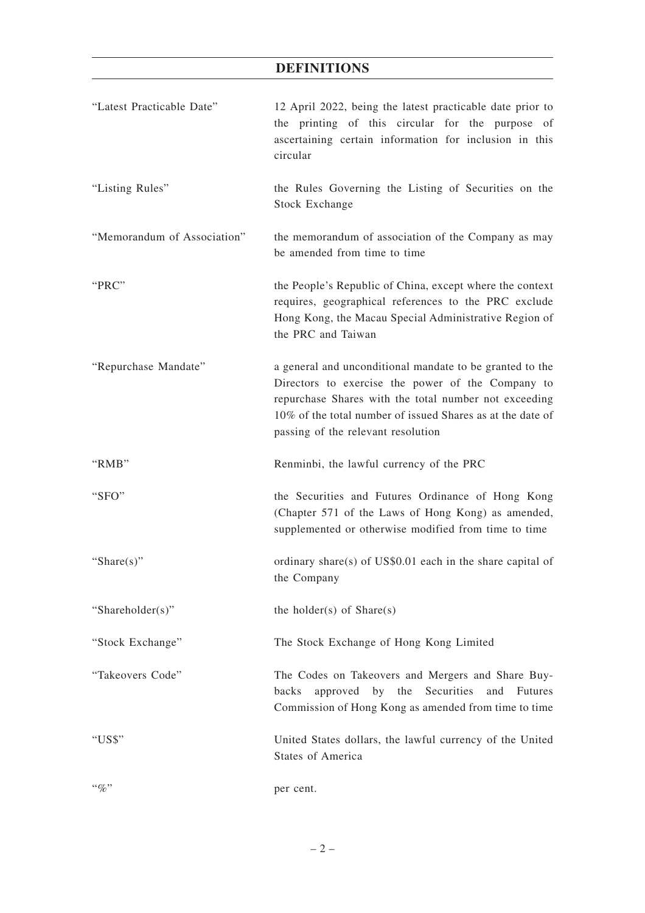# **DEFINITIONS**

| "Latest Practicable Date"   | 12 April 2022, being the latest practicable date prior to<br>the printing of this circular for the purpose of<br>ascertaining certain information for inclusion in this<br>circular                                                                                        |
|-----------------------------|----------------------------------------------------------------------------------------------------------------------------------------------------------------------------------------------------------------------------------------------------------------------------|
| "Listing Rules"             | the Rules Governing the Listing of Securities on the<br><b>Stock Exchange</b>                                                                                                                                                                                              |
| "Memorandum of Association" | the memorandum of association of the Company as may<br>be amended from time to time                                                                                                                                                                                        |
| " $PRC$ "                   | the People's Republic of China, except where the context<br>requires, geographical references to the PRC exclude<br>Hong Kong, the Macau Special Administrative Region of<br>the PRC and Taiwan                                                                            |
| "Repurchase Mandate"        | a general and unconditional mandate to be granted to the<br>Directors to exercise the power of the Company to<br>repurchase Shares with the total number not exceeding<br>10% of the total number of issued Shares as at the date of<br>passing of the relevant resolution |
| "RMB"                       | Renminbi, the lawful currency of the PRC                                                                                                                                                                                                                                   |
|                             |                                                                                                                                                                                                                                                                            |
| "SFO"                       | the Securities and Futures Ordinance of Hong Kong<br>(Chapter 571 of the Laws of Hong Kong) as amended,<br>supplemented or otherwise modified from time to time                                                                                                            |
| "Share $(s)$ "              | ordinary share(s) of US\$0.01 each in the share capital of<br>the Company                                                                                                                                                                                                  |
| "Shareholder(s)"            | the holder(s) of $Share(s)$                                                                                                                                                                                                                                                |
| "Stock Exchange"            | The Stock Exchange of Hong Kong Limited                                                                                                                                                                                                                                    |
| "Takeovers Code"            | The Codes on Takeovers and Mergers and Share Buy-<br>Securities<br>by<br>backs<br>approved<br>the<br>and<br><b>Futures</b><br>Commission of Hong Kong as amended from time to time                                                                                         |
| "US\$"                      | United States dollars, the lawful currency of the United<br><b>States of America</b>                                                                                                                                                                                       |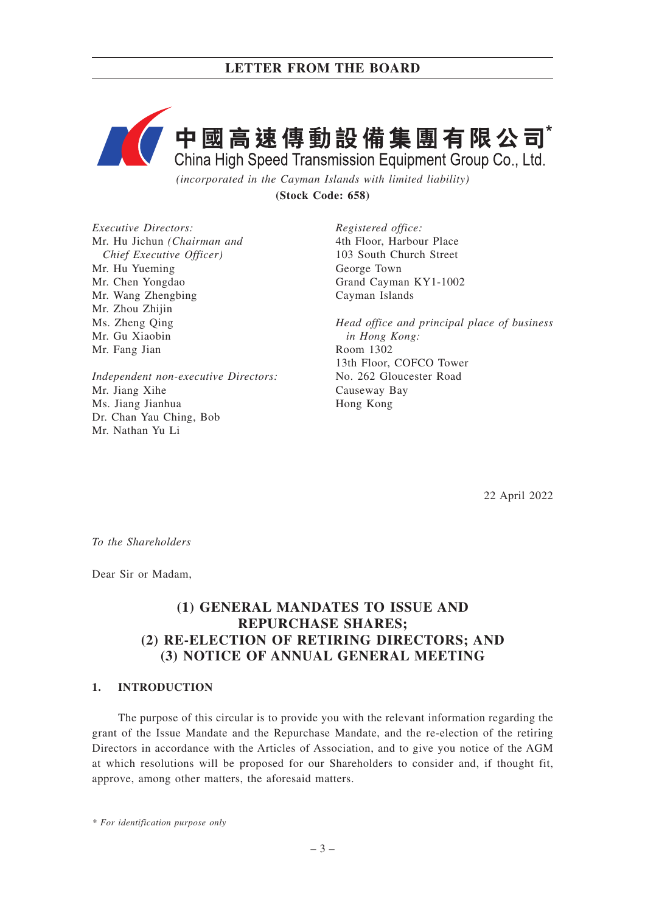

*(incorporated in the Cayman Islands with limited liability)* **(Stock Code: 658)**

*Executive Directors:* Mr. Hu Jichun *(Chairman and Chief Executive Officer)* Mr. Hu Yueming Mr. Chen Yongdao Mr. Wang Zhengbing Mr. Zhou Zhijin Ms. Zheng Qing Mr. Gu Xiaobin Mr. Fang Jian

*Independent non-executive Directors:* Mr. Jiang Xihe Ms. Jiang Jianhua Dr. Chan Yau Ching, Bob Mr. Nathan Yu Li

*Registered office:* 4th Floor, Harbour Place 103 South Church Street George Town Grand Cayman KY1-1002 Cayman Islands

*Head office and principal place of business in Hong Kong:* Room 1302 13th Floor, COFCO Tower No. 262 Gloucester Road Causeway Bay Hong Kong

22 April 2022

*To the Shareholders*

Dear Sir or Madam,

# **(1) GENERAL MANDATES TO ISSUE AND REPURCHASE SHARES; (2) RE-ELECTION OF RETIRING DIRECTORS; AND (3) NOTICE OF ANNUAL GENERAL MEETING**

## **1. INTRODUCTION**

The purpose of this circular is to provide you with the relevant information regarding the grant of the Issue Mandate and the Repurchase Mandate, and the re-election of the retiring Directors in accordance with the Articles of Association, and to give you notice of the AGM at which resolutions will be proposed for our Shareholders to consider and, if thought fit, approve, among other matters, the aforesaid matters.

*\* For identification purpose only*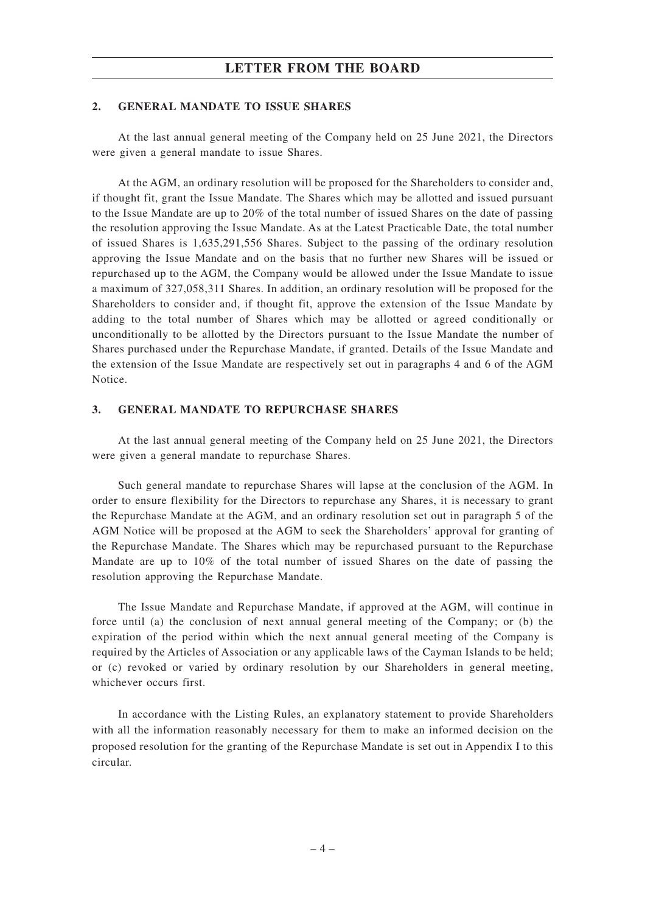## **LETTER FROM THE BOARD**

#### **2. GENERAL MANDATE TO ISSUE SHARES**

At the last annual general meeting of the Company held on 25 June 2021, the Directors were given a general mandate to issue Shares.

At the AGM, an ordinary resolution will be proposed for the Shareholders to consider and, if thought fit, grant the Issue Mandate. The Shares which may be allotted and issued pursuant to the Issue Mandate are up to 20% of the total number of issued Shares on the date of passing the resolution approving the Issue Mandate. As at the Latest Practicable Date, the total number of issued Shares is 1,635,291,556 Shares. Subject to the passing of the ordinary resolution approving the Issue Mandate and on the basis that no further new Shares will be issued or repurchased up to the AGM, the Company would be allowed under the Issue Mandate to issue a maximum of 327,058,311 Shares. In addition, an ordinary resolution will be proposed for the Shareholders to consider and, if thought fit, approve the extension of the Issue Mandate by adding to the total number of Shares which may be allotted or agreed conditionally or unconditionally to be allotted by the Directors pursuant to the Issue Mandate the number of Shares purchased under the Repurchase Mandate, if granted. Details of the Issue Mandate and the extension of the Issue Mandate are respectively set out in paragraphs 4 and 6 of the AGM Notice.

## **3. GENERAL MANDATE TO REPURCHASE SHARES**

At the last annual general meeting of the Company held on 25 June 2021, the Directors were given a general mandate to repurchase Shares.

Such general mandate to repurchase Shares will lapse at the conclusion of the AGM. In order to ensure flexibility for the Directors to repurchase any Shares, it is necessary to grant the Repurchase Mandate at the AGM, and an ordinary resolution set out in paragraph 5 of the AGM Notice will be proposed at the AGM to seek the Shareholders' approval for granting of the Repurchase Mandate. The Shares which may be repurchased pursuant to the Repurchase Mandate are up to 10% of the total number of issued Shares on the date of passing the resolution approving the Repurchase Mandate.

The Issue Mandate and Repurchase Mandate, if approved at the AGM, will continue in force until (a) the conclusion of next annual general meeting of the Company; or (b) the expiration of the period within which the next annual general meeting of the Company is required by the Articles of Association or any applicable laws of the Cayman Islands to be held; or (c) revoked or varied by ordinary resolution by our Shareholders in general meeting, whichever occurs first.

In accordance with the Listing Rules, an explanatory statement to provide Shareholders with all the information reasonably necessary for them to make an informed decision on the proposed resolution for the granting of the Repurchase Mandate is set out in Appendix I to this circular.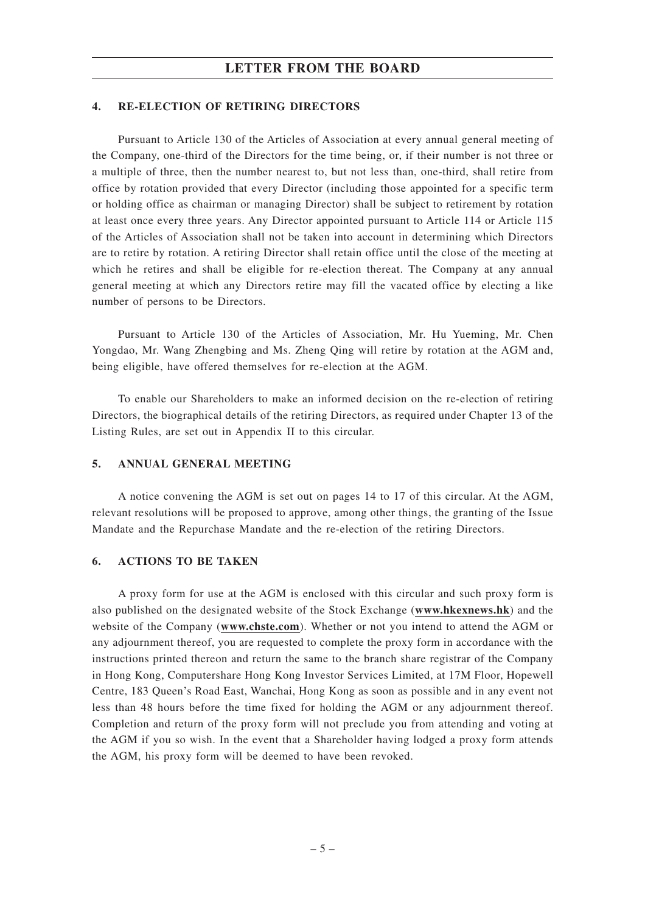## **LETTER FROM THE BOARD**

#### **4. RE-ELECTION OF RETIRING DIRECTORS**

Pursuant to Article 130 of the Articles of Association at every annual general meeting of the Company, one-third of the Directors for the time being, or, if their number is not three or a multiple of three, then the number nearest to, but not less than, one-third, shall retire from office by rotation provided that every Director (including those appointed for a specific term or holding office as chairman or managing Director) shall be subject to retirement by rotation at least once every three years. Any Director appointed pursuant to Article 114 or Article 115 of the Articles of Association shall not be taken into account in determining which Directors are to retire by rotation. A retiring Director shall retain office until the close of the meeting at which he retires and shall be eligible for re-election thereat. The Company at any annual general meeting at which any Directors retire may fill the vacated office by electing a like number of persons to be Directors.

Pursuant to Article 130 of the Articles of Association, Mr. Hu Yueming, Mr. Chen Yongdao, Mr. Wang Zhengbing and Ms. Zheng Qing will retire by rotation at the AGM and, being eligible, have offered themselves for re-election at the AGM.

To enable our Shareholders to make an informed decision on the re-election of retiring Directors, the biographical details of the retiring Directors, as required under Chapter 13 of the Listing Rules, are set out in Appendix II to this circular.

### **5. ANNUAL GENERAL MEETING**

A notice convening the AGM is set out on pages 14 to 17 of this circular. At the AGM, relevant resolutions will be proposed to approve, among other things, the granting of the Issue Mandate and the Repurchase Mandate and the re-election of the retiring Directors.

### **6. ACTIONS TO BE TAKEN**

A proxy form for use at the AGM is enclosed with this circular and such proxy form is also published on the designated website of the Stock Exchange (**www.hkexnews.hk**) and the website of the Company (**www.chste.com**). Whether or not you intend to attend the AGM or any adjournment thereof, you are requested to complete the proxy form in accordance with the instructions printed thereon and return the same to the branch share registrar of the Company in Hong Kong, Computershare Hong Kong Investor Services Limited, at 17M Floor, Hopewell Centre, 183 Queen's Road East, Wanchai, Hong Kong as soon as possible and in any event not less than 48 hours before the time fixed for holding the AGM or any adjournment thereof. Completion and return of the proxy form will not preclude you from attending and voting at the AGM if you so wish. In the event that a Shareholder having lodged a proxy form attends the AGM, his proxy form will be deemed to have been revoked.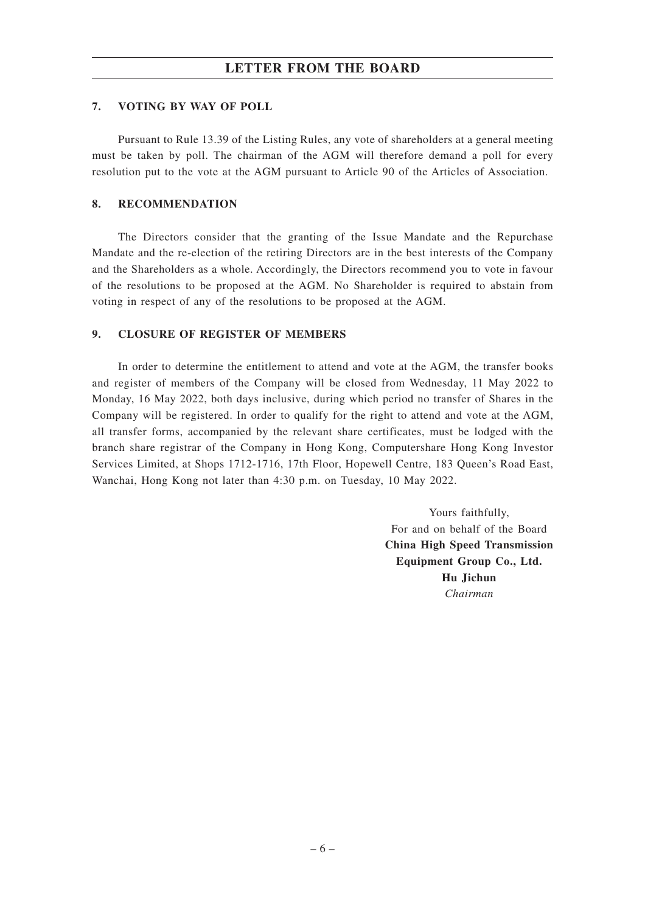## **LETTER FROM THE BOARD**

### **7. VOTING BY WAY OF POLL**

Pursuant to Rule 13.39 of the Listing Rules, any vote of shareholders at a general meeting must be taken by poll. The chairman of the AGM will therefore demand a poll for every resolution put to the vote at the AGM pursuant to Article 90 of the Articles of Association.

#### **8. RECOMMENDATION**

The Directors consider that the granting of the Issue Mandate and the Repurchase Mandate and the re-election of the retiring Directors are in the best interests of the Company and the Shareholders as a whole. Accordingly, the Directors recommend you to vote in favour of the resolutions to be proposed at the AGM. No Shareholder is required to abstain from voting in respect of any of the resolutions to be proposed at the AGM.

#### **9. CLOSURE OF REGISTER OF MEMBERS**

In order to determine the entitlement to attend and vote at the AGM, the transfer books and register of members of the Company will be closed from Wednesday, 11 May 2022 to Monday, 16 May 2022, both days inclusive, during which period no transfer of Shares in the Company will be registered. In order to qualify for the right to attend and vote at the AGM, all transfer forms, accompanied by the relevant share certificates, must be lodged with the branch share registrar of the Company in Hong Kong, Computershare Hong Kong Investor Services Limited, at Shops 1712-1716, 17th Floor, Hopewell Centre, 183 Queen's Road East, Wanchai, Hong Kong not later than 4:30 p.m. on Tuesday, 10 May 2022.

> Yours faithfully, For and on behalf of the Board **China High Speed Transmission Equipment Group Co., Ltd. Hu Jichun** *Chairman*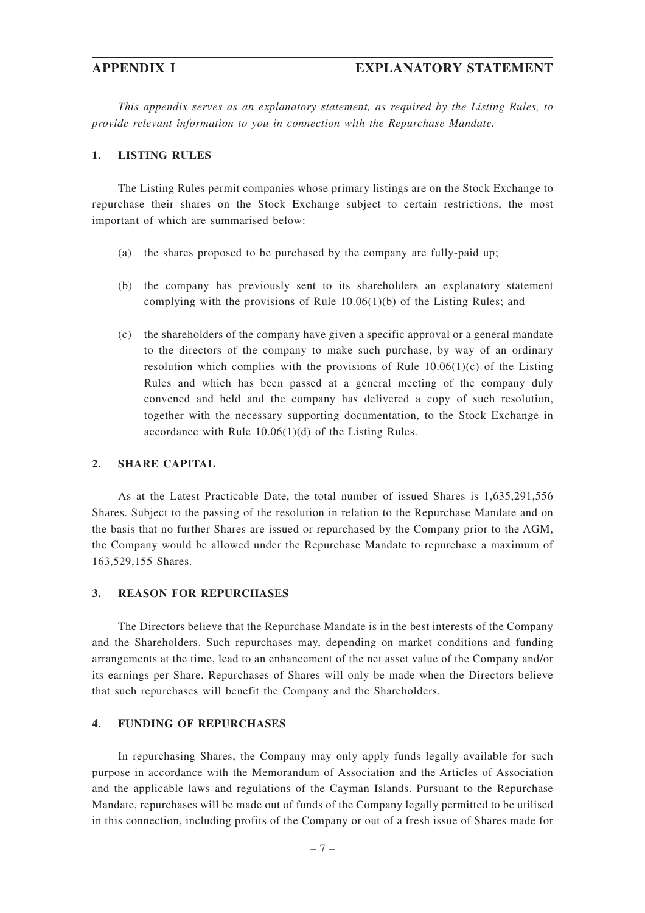*This appendix serves as an explanatory statement, as required by the Listing Rules, to provide relevant information to you in connection with the Repurchase Mandate.*

#### **1. LISTING RULES**

The Listing Rules permit companies whose primary listings are on the Stock Exchange to repurchase their shares on the Stock Exchange subject to certain restrictions, the most important of which are summarised below:

- (a) the shares proposed to be purchased by the company are fully-paid up;
- (b) the company has previously sent to its shareholders an explanatory statement complying with the provisions of Rule  $10.06(1)(b)$  of the Listing Rules; and
- (c) the shareholders of the company have given a specific approval or a general mandate to the directors of the company to make such purchase, by way of an ordinary resolution which complies with the provisions of Rule  $10.06(1)(c)$  of the Listing Rules and which has been passed at a general meeting of the company duly convened and held and the company has delivered a copy of such resolution, together with the necessary supporting documentation, to the Stock Exchange in accordance with Rule 10.06(1)(d) of the Listing Rules.

#### **2. SHARE CAPITAL**

As at the Latest Practicable Date, the total number of issued Shares is 1,635,291,556 Shares. Subject to the passing of the resolution in relation to the Repurchase Mandate and on the basis that no further Shares are issued or repurchased by the Company prior to the AGM, the Company would be allowed under the Repurchase Mandate to repurchase a maximum of 163,529,155 Shares.

### **3. REASON FOR REPURCHASES**

The Directors believe that the Repurchase Mandate is in the best interests of the Company and the Shareholders. Such repurchases may, depending on market conditions and funding arrangements at the time, lead to an enhancement of the net asset value of the Company and/or its earnings per Share. Repurchases of Shares will only be made when the Directors believe that such repurchases will benefit the Company and the Shareholders.

#### **4. FUNDING OF REPURCHASES**

In repurchasing Shares, the Company may only apply funds legally available for such purpose in accordance with the Memorandum of Association and the Articles of Association and the applicable laws and regulations of the Cayman Islands. Pursuant to the Repurchase Mandate, repurchases will be made out of funds of the Company legally permitted to be utilised in this connection, including profits of the Company or out of a fresh issue of Shares made for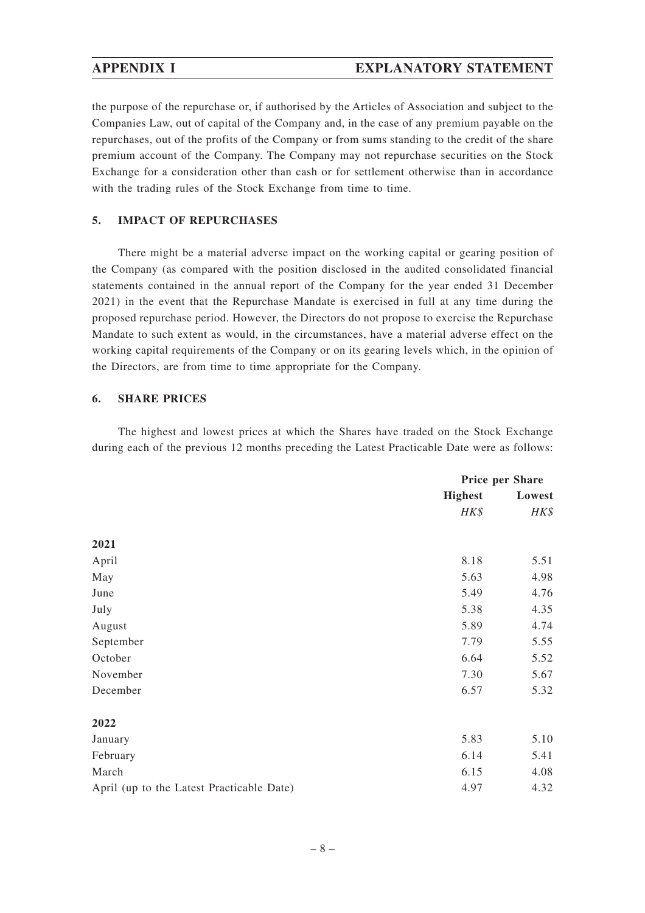the purpose of the repurchase or, if authorised by the Articles of Association and subject to the Companies Law, out of capital of the Company and, in the case of any premium payable on the repurchases, out of the profits of the Company or from sums standing to the credit of the share premium account of the Company. The Company may not repurchase securities on the Stock Exchange for a consideration other than cash or for settlement otherwise than in accordance with the trading rules of the Stock Exchange from time to time.

## **5. IMPACT OF REPURCHASES**

There might be a material adverse impact on the working capital or gearing position of the Company (as compared with the position disclosed in the audited consolidated financial statements contained in the annual report of the Company for the year ended 31 December 2021) in the event that the Repurchase Mandate is exercised in full at any time during the proposed repurchase period. However, the Directors do not propose to exercise the Repurchase Mandate to such extent as would, in the circumstances, have a material adverse effect on the working capital requirements of the Company or on its gearing levels which, in the opinion of the Directors, are from time to time appropriate for the Company.

## **6. SHARE PRICES**

The highest and lowest prices at which the Shares have traded on the Stock Exchange during each of the previous 12 months preceding the Latest Practicable Date were as follows:

|                                           | Price per Share |        |
|-------------------------------------------|-----------------|--------|
|                                           | <b>Highest</b>  | Lowest |
|                                           | HK\$            | HK\$   |
| 2021                                      |                 |        |
| April                                     | 8.18            | 5.51   |
| May                                       | 5.63            | 4.98   |
| June                                      | 5.49            | 4.76   |
| July                                      | 5.38            | 4.35   |
| August                                    | 5.89            | 4.74   |
| September                                 | 7.79            | 5.55   |
| October                                   | 6.64            | 5.52   |
| November                                  | 7.30            | 5.67   |
| December                                  | 6.57            | 5.32   |
| 2022                                      |                 |        |
| January                                   | 5.83            | 5.10   |
| February                                  | 6.14            | 5.41   |
| March                                     | 6.15            | 4.08   |
| April (up to the Latest Practicable Date) | 4.97            | 4.32   |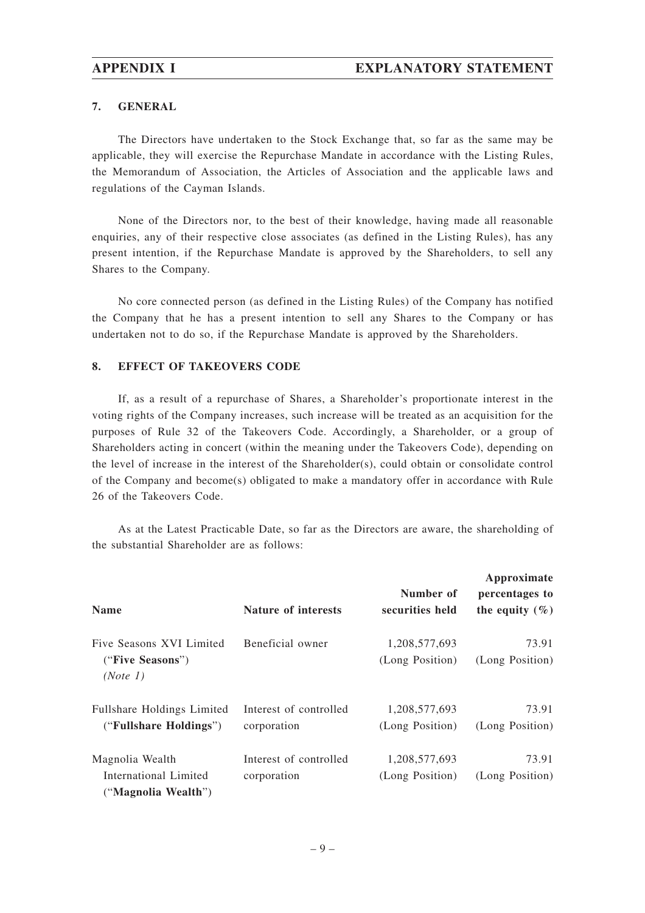## **7. GENERAL**

The Directors have undertaken to the Stock Exchange that, so far as the same may be applicable, they will exercise the Repurchase Mandate in accordance with the Listing Rules, the Memorandum of Association, the Articles of Association and the applicable laws and regulations of the Cayman Islands.

None of the Directors nor, to the best of their knowledge, having made all reasonable enquiries, any of their respective close associates (as defined in the Listing Rules), has any present intention, if the Repurchase Mandate is approved by the Shareholders, to sell any Shares to the Company.

No core connected person (as defined in the Listing Rules) of the Company has notified the Company that he has a present intention to sell any Shares to the Company or has undertaken not to do so, if the Repurchase Mandate is approved by the Shareholders.

## **8. EFFECT OF TAKEOVERS CODE**

If, as a result of a repurchase of Shares, a Shareholder's proportionate interest in the voting rights of the Company increases, such increase will be treated as an acquisition for the purposes of Rule 32 of the Takeovers Code. Accordingly, a Shareholder, or a group of Shareholders acting in concert (within the meaning under the Takeovers Code), depending on the level of increase in the interest of the Shareholder(s), could obtain or consolidate control of the Company and become(s) obligated to make a mandatory offer in accordance with Rule 26 of the Takeovers Code.

As at the Latest Practicable Date, so far as the Directors are aware, the shareholding of the substantial Shareholder are as follows:

| <b>Name</b>                                                     | <b>Nature of interests</b>            | Number of<br>securities held     | Approximate<br>percentages to<br>the equity $(\% )$ |
|-----------------------------------------------------------------|---------------------------------------|----------------------------------|-----------------------------------------------------|
| Five Seasons XVI Limited<br>("Five Seasons")<br>(Note 1)        | Beneficial owner                      | 1,208,577,693<br>(Long Position) | 73.91<br>(Long Position)                            |
| <b>Fullshare Holdings Limited</b><br>("Fullshare Holdings")     | Interest of controlled<br>corporation | 1,208,577,693<br>(Long Position) | 73.91<br>(Long Position)                            |
| Magnolia Wealth<br>International Limited<br>("Magnolia Wealth") | Interest of controlled<br>corporation | 1,208,577,693<br>(Long Position) | 73.91<br>(Long Position)                            |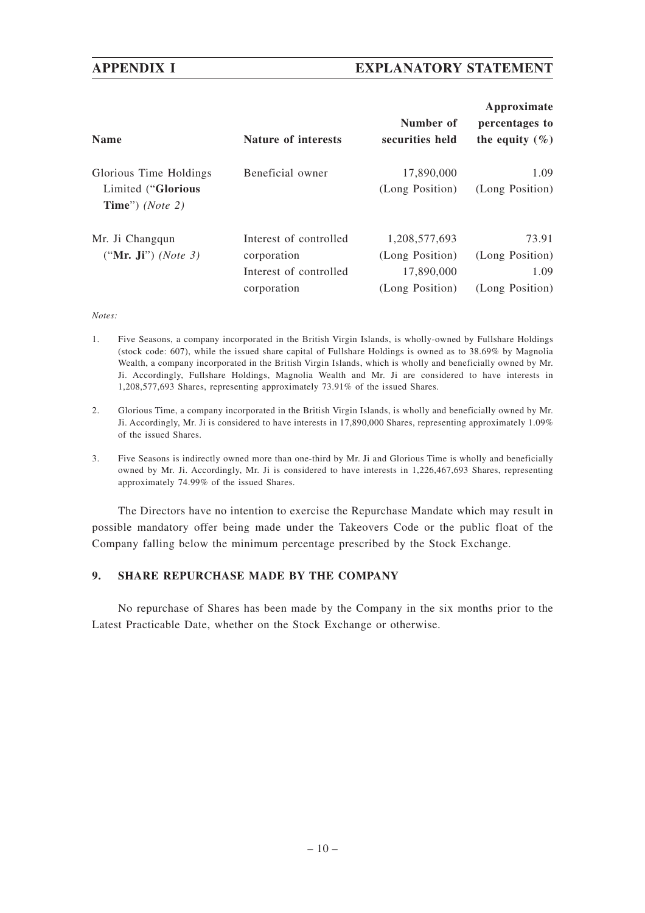## **APPENDIX I EXPLANATORY STATEMENT**

| <b>Name</b>                                                             | <b>Nature of interests</b>                                                     | Number of<br>securities held                                      | Approximate<br>percentages to<br>the equity $(\% )$ |
|-------------------------------------------------------------------------|--------------------------------------------------------------------------------|-------------------------------------------------------------------|-----------------------------------------------------|
| Glorious Time Holdings<br>Limited ("Glorious<br>Time") ( <i>Note</i> 2) | Beneficial owner                                                               | 17,890,000<br>(Long Position)                                     | 1.09<br>(Long Position)                             |
| Mr. Ji Changqun<br>("Mr. Ji") ( <i>Note</i> 3)                          | Interest of controlled<br>corporation<br>Interest of controlled<br>corporation | 1,208,577,693<br>(Long Position)<br>17,890,000<br>(Long Position) | 73.91<br>(Long Position)<br>1.09<br>(Long Position) |

#### *Notes:*

- 1. Five Seasons, a company incorporated in the British Virgin Islands, is wholly-owned by Fullshare Holdings (stock code: 607), while the issued share capital of Fullshare Holdings is owned as to 38.69% by Magnolia Wealth, a company incorporated in the British Virgin Islands, which is wholly and beneficially owned by Mr. Ji. Accordingly, Fullshare Holdings, Magnolia Wealth and Mr. Ji are considered to have interests in 1,208,577,693 Shares, representing approximately 73.91% of the issued Shares.
- 2. Glorious Time, a company incorporated in the British Virgin Islands, is wholly and beneficially owned by Mr. Ji. Accordingly, Mr. Ji is considered to have interests in 17,890,000 Shares, representing approximately 1.09% of the issued Shares.
- 3. Five Seasons is indirectly owned more than one-third by Mr. Ji and Glorious Time is wholly and beneficially owned by Mr. Ji. Accordingly, Mr. Ji is considered to have interests in 1,226,467,693 Shares, representing approximately 74.99% of the issued Shares.

The Directors have no intention to exercise the Repurchase Mandate which may result in possible mandatory offer being made under the Takeovers Code or the public float of the Company falling below the minimum percentage prescribed by the Stock Exchange.

## **9. SHARE REPURCHASE MADE BY THE COMPANY**

No repurchase of Shares has been made by the Company in the six months prior to the Latest Practicable Date, whether on the Stock Exchange or otherwise.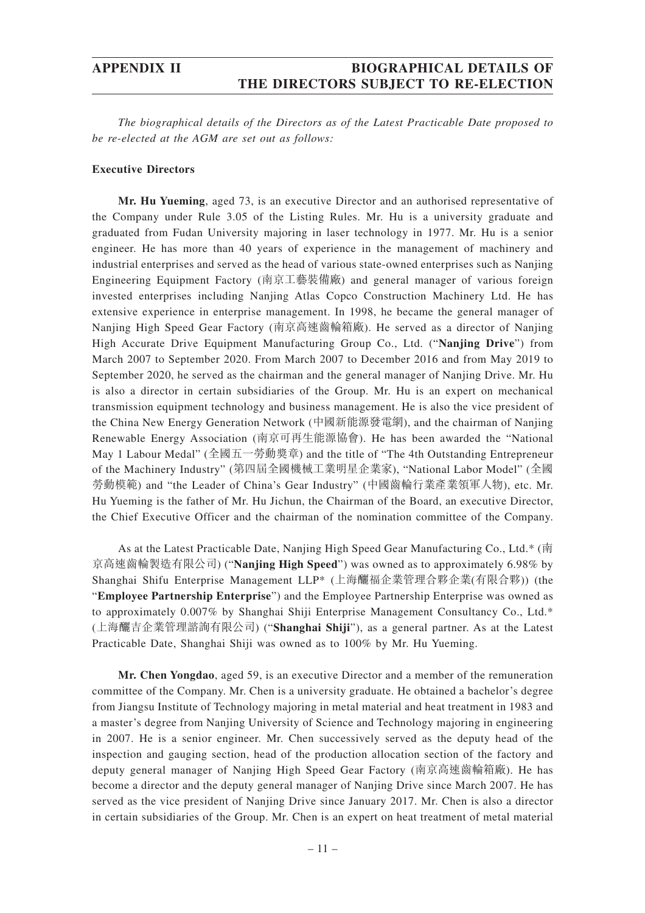# **APPENDIX II BIOGRAPHICAL DETAILS OF THE DIRECTORS SUBJECT TO RE-ELECTION**

*The biographical details of the Directors as of the Latest Practicable Date proposed to be re-elected at the AGM are set out as follows:*

#### **Executive Directors**

**Mr. Hu Yueming**, aged 73, is an executive Director and an authorised representative of the Company under Rule 3.05 of the Listing Rules. Mr. Hu is a university graduate and graduated from Fudan University majoring in laser technology in 1977. Mr. Hu is a senior engineer. He has more than 40 years of experience in the management of machinery and industrial enterprises and served as the head of various state-owned enterprises such as Nanjing Engineering Equipment Factory (南京工藝裝備廠) and general manager of various foreign invested enterprises including Nanjing Atlas Copco Construction Machinery Ltd. He has extensive experience in enterprise management. In 1998, he became the general manager of Nanjing High Speed Gear Factory (南京高速齒輪箱廠). He served as a director of Nanjing High Accurate Drive Equipment Manufacturing Group Co., Ltd. ("**Nanjing Drive**") from March 2007 to September 2020. From March 2007 to December 2016 and from May 2019 to September 2020, he served as the chairman and the general manager of Nanjing Drive. Mr. Hu is also a director in certain subsidiaries of the Group. Mr. Hu is an expert on mechanical transmission equipment technology and business management. He is also the vice president of the China New Energy Generation Network (中國新能源發電網), and the chairman of Nanjing Renewable Energy Association (南京可再生能源協會). He has been awarded the "National May 1 Labour Medal" (全國五一勞動獎章) and the title of "The 4th Outstanding Entrepreneur of the Machinery Industry" (第四屆全國機械工業明星企業家), "National Labor Model" (全國 勞動模範) and "the Leader of China's Gear Industry" (中國齒輪行業產業領軍人物), etc. Mr. Hu Yueming is the father of Mr. Hu Jichun, the Chairman of the Board, an executive Director, the Chief Executive Officer and the chairman of the nomination committee of the Company.

As at the Latest Practicable Date, Nanjing High Speed Gear Manufacturing Co., Ltd.\* (南 京高速齒輪製造有限公司) ("**Nanjing High Speed**") was owned as to approximately 6.98% by Shanghai Shifu Enterprise Management LLP\* (上海釃福企業管理合夥企業(有限合夥)) (the "**Employee Partnership Enterprise**") and the Employee Partnership Enterprise was owned as to approximately 0.007% by Shanghai Shiji Enterprise Management Consultancy Co., Ltd.\* (上海釃吉企業管理諮詢有限公司) ("**Shanghai Shiji**"), as a general partner. As at the Latest Practicable Date, Shanghai Shiji was owned as to 100% by Mr. Hu Yueming.

**Mr. Chen Yongdao**, aged 59, is an executive Director and a member of the remuneration committee of the Company. Mr. Chen is a university graduate. He obtained a bachelor's degree from Jiangsu Institute of Technology majoring in metal material and heat treatment in 1983 and a master's degree from Nanjing University of Science and Technology majoring in engineering in 2007. He is a senior engineer. Mr. Chen successively served as the deputy head of the inspection and gauging section, head of the production allocation section of the factory and deputy general manager of Nanjing High Speed Gear Factory (南京高速齒輪箱廠). He has become a director and the deputy general manager of Nanjing Drive since March 2007. He has served as the vice president of Nanjing Drive since January 2017. Mr. Chen is also a director in certain subsidiaries of the Group. Mr. Chen is an expert on heat treatment of metal material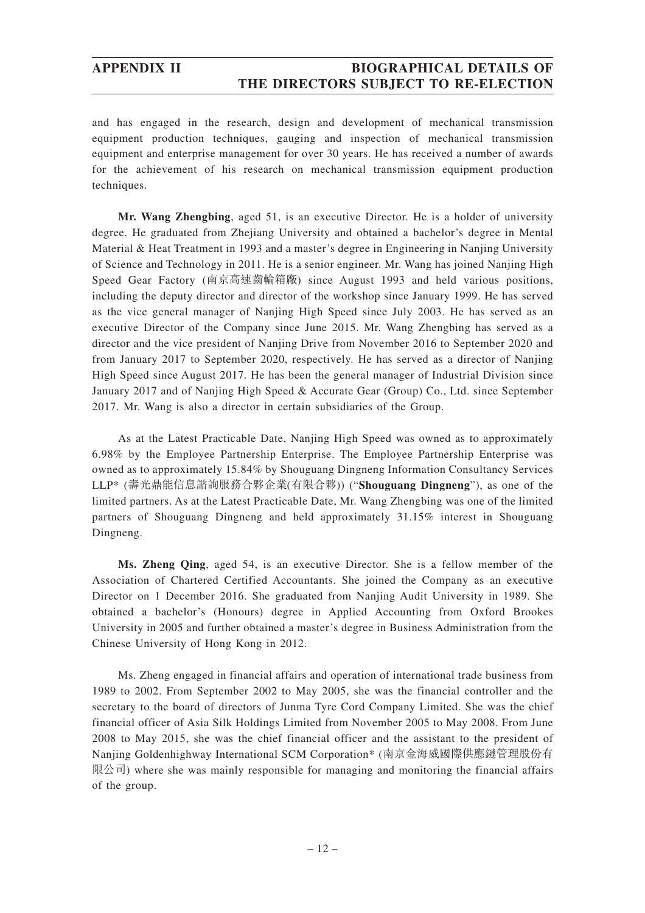# **APPENDIX II BIOGRAPHICAL DETAILS OF THE DIRECTORS SUBJECT TO RE-ELECTION**

and has engaged in the research, design and development of mechanical transmission equipment production techniques, gauging and inspection of mechanical transmission equipment and enterprise management for over 30 years. He has received a number of awards for the achievement of his research on mechanical transmission equipment production techniques.

**Mr. Wang Zhengbing**, aged 51, is an executive Director. He is a holder of university degree. He graduated from Zhejiang University and obtained a bachelor's degree in Mental Material & Heat Treatment in 1993 and a master's degree in Engineering in Nanjing University of Science and Technology in 2011. He is a senior engineer. Mr. Wang has joined Nanjing High Speed Gear Factory (南京高速齒輪箱廠) since August 1993 and held various positions, including the deputy director and director of the workshop since January 1999. He has served as the vice general manager of Nanjing High Speed since July 2003. He has served as an executive Director of the Company since June 2015. Mr. Wang Zhengbing has served as a director and the vice president of Nanjing Drive from November 2016 to September 2020 and from January 2017 to September 2020, respectively. He has served as a director of Nanjing High Speed since August 2017. He has been the general manager of Industrial Division since January 2017 and of Nanjing High Speed & Accurate Gear (Group) Co., Ltd. since September 2017. Mr. Wang is also a director in certain subsidiaries of the Group.

As at the Latest Practicable Date, Nanjing High Speed was owned as to approximately 6.98% by the Employee Partnership Enterprise. The Employee Partnership Enterprise was owned as to approximately 15.84% by Shouguang Dingneng Information Consultancy Services LLP\* (壽光鼎能信息諮詢服務合夥企業(有限合夥)) ("**Shouguang Dingneng**"), as one of the limited partners. As at the Latest Practicable Date, Mr. Wang Zhengbing was one of the limited partners of Shouguang Dingneng and held approximately 31.15% interest in Shouguang Dingneng.

**Ms. Zheng Qing**, aged 54, is an executive Director. She is a fellow member of the Association of Chartered Certified Accountants. She joined the Company as an executive Director on 1 December 2016. She graduated from Nanjing Audit University in 1989. She obtained a bachelor's (Honours) degree in Applied Accounting from Oxford Brookes University in 2005 and further obtained a master's degree in Business Administration from the Chinese University of Hong Kong in 2012.

Ms. Zheng engaged in financial affairs and operation of international trade business from 1989 to 2002. From September 2002 to May 2005, she was the financial controller and the secretary to the board of directors of Junma Tyre Cord Company Limited. She was the chief financial officer of Asia Silk Holdings Limited from November 2005 to May 2008. From June 2008 to May 2015, she was the chief financial officer and the assistant to the president of Nanjing Goldenhighway International SCM Corporation\* (南京金海威國際供應鏈管理股份有 限公司) where she was mainly responsible for managing and monitoring the financial affairs of the group.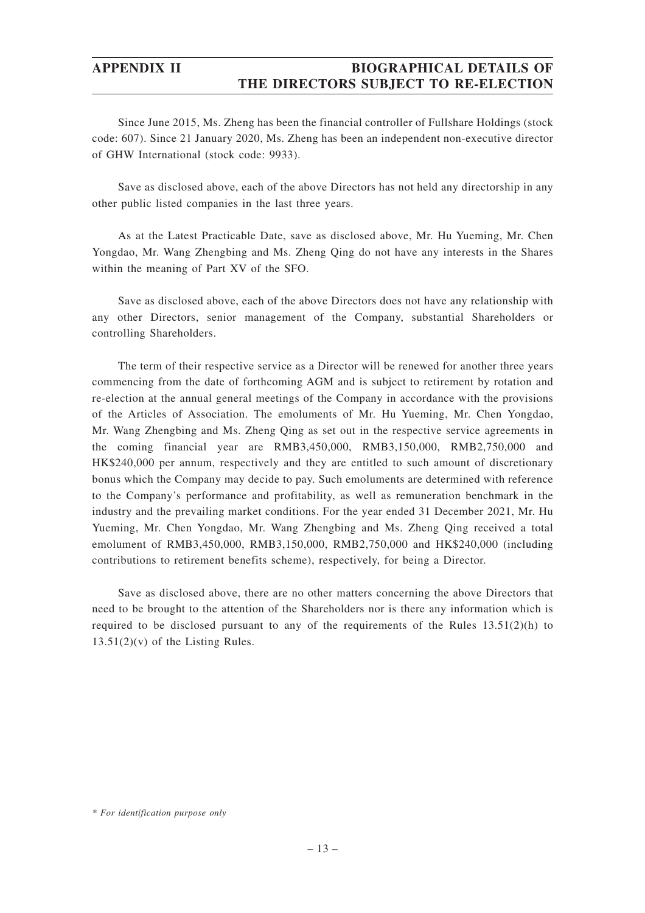# **APPENDIX II BIOGRAPHICAL DETAILS OF THE DIRECTORS SUBJECT TO RE-ELECTION**

Since June 2015, Ms. Zheng has been the financial controller of Fullshare Holdings (stock code: 607). Since 21 January 2020, Ms. Zheng has been an independent non-executive director of GHW International (stock code: 9933).

Save as disclosed above, each of the above Directors has not held any directorship in any other public listed companies in the last three years.

As at the Latest Practicable Date, save as disclosed above, Mr. Hu Yueming, Mr. Chen Yongdao, Mr. Wang Zhengbing and Ms. Zheng Qing do not have any interests in the Shares within the meaning of Part XV of the SFO.

Save as disclosed above, each of the above Directors does not have any relationship with any other Directors, senior management of the Company, substantial Shareholders or controlling Shareholders.

The term of their respective service as a Director will be renewed for another three years commencing from the date of forthcoming AGM and is subject to retirement by rotation and re-election at the annual general meetings of the Company in accordance with the provisions of the Articles of Association. The emoluments of Mr. Hu Yueming, Mr. Chen Yongdao, Mr. Wang Zhengbing and Ms. Zheng Qing as set out in the respective service agreements in the coming financial year are RMB3,450,000, RMB3,150,000, RMB2,750,000 and HK\$240,000 per annum, respectively and they are entitled to such amount of discretionary bonus which the Company may decide to pay. Such emoluments are determined with reference to the Company's performance and profitability, as well as remuneration benchmark in the industry and the prevailing market conditions. For the year ended 31 December 2021, Mr. Hu Yueming, Mr. Chen Yongdao, Mr. Wang Zhengbing and Ms. Zheng Qing received a total emolument of RMB3,450,000, RMB3,150,000, RMB2,750,000 and HK\$240,000 (including contributions to retirement benefits scheme), respectively, for being a Director.

Save as disclosed above, there are no other matters concerning the above Directors that need to be brought to the attention of the Shareholders nor is there any information which is required to be disclosed pursuant to any of the requirements of the Rules  $13.51(2)(h)$  to  $13.51(2)(v)$  of the Listing Rules.

*<sup>\*</sup> For identification purpose only*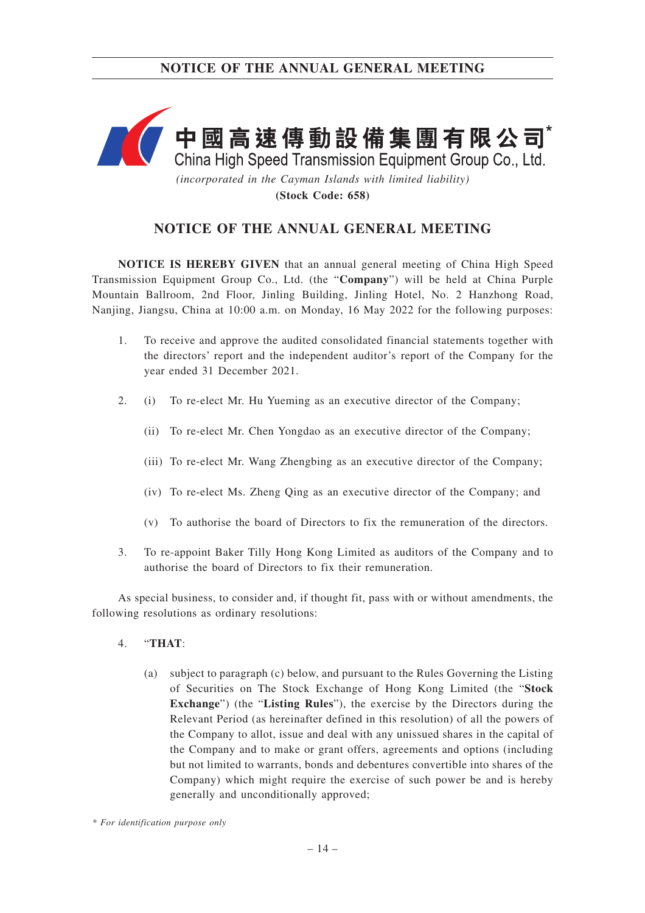

**(Stock Code: 658)**

# **NOTICE OF THE ANNUAL GENERAL MEETING**

**NOTICE IS HEREBY GIVEN** that an annual general meeting of China High Speed Transmission Equipment Group Co., Ltd. (the "**Company**") will be held at China Purple Mountain Ballroom, 2nd Floor, Jinling Building, Jinling Hotel, No. 2 Hanzhong Road, Nanjing, Jiangsu, China at 10:00 a.m. on Monday, 16 May 2022 for the following purposes:

- 1. To receive and approve the audited consolidated financial statements together with the directors' report and the independent auditor's report of the Company for the year ended 31 December 2021.
- 2. (i) To re-elect Mr. Hu Yueming as an executive director of the Company;
	- (ii) To re-elect Mr. Chen Yongdao as an executive director of the Company;
	- (iii) To re-elect Mr. Wang Zhengbing as an executive director of the Company;
	- (iv) To re-elect Ms. Zheng Qing as an executive director of the Company; and
	- (v) To authorise the board of Directors to fix the remuneration of the directors.
- 3. To re-appoint Baker Tilly Hong Kong Limited as auditors of the Company and to authorise the board of Directors to fix their remuneration.

As special business, to consider and, if thought fit, pass with or without amendments, the following resolutions as ordinary resolutions:

- 4. "**THAT**:
	- (a) subject to paragraph (c) below, and pursuant to the Rules Governing the Listing of Securities on The Stock Exchange of Hong Kong Limited (the "**Stock Exchange**") (the "**Listing Rules**"), the exercise by the Directors during the Relevant Period (as hereinafter defined in this resolution) of all the powers of the Company to allot, issue and deal with any unissued shares in the capital of the Company and to make or grant offers, agreements and options (including but not limited to warrants, bonds and debentures convertible into shares of the Company) which might require the exercise of such power be and is hereby generally and unconditionally approved;

*<sup>\*</sup> For identification purpose only*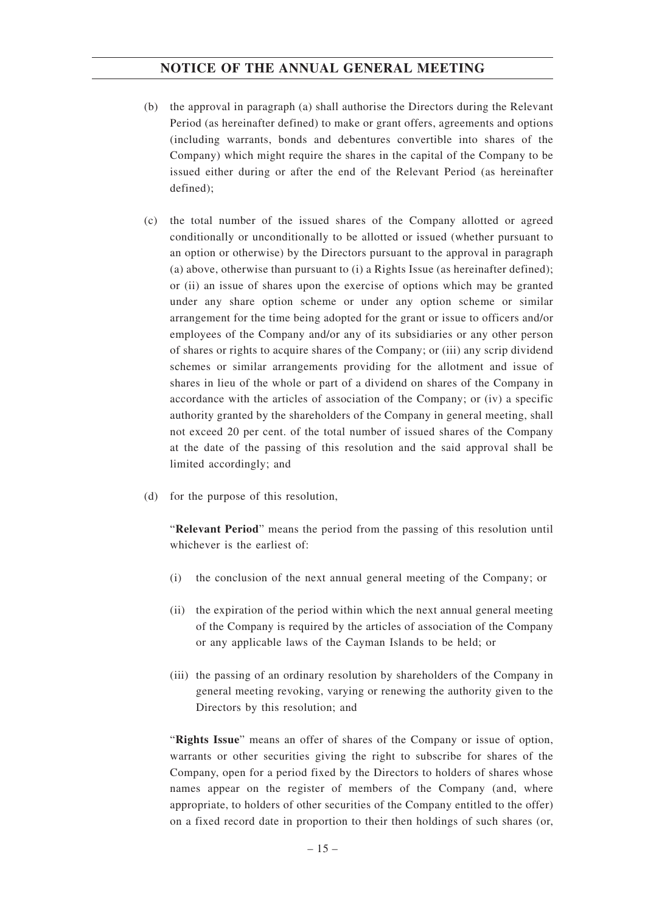- (b) the approval in paragraph (a) shall authorise the Directors during the Relevant Period (as hereinafter defined) to make or grant offers, agreements and options (including warrants, bonds and debentures convertible into shares of the Company) which might require the shares in the capital of the Company to be issued either during or after the end of the Relevant Period (as hereinafter defined);
- (c) the total number of the issued shares of the Company allotted or agreed conditionally or unconditionally to be allotted or issued (whether pursuant to an option or otherwise) by the Directors pursuant to the approval in paragraph (a) above, otherwise than pursuant to (i) a Rights Issue (as hereinafter defined); or (ii) an issue of shares upon the exercise of options which may be granted under any share option scheme or under any option scheme or similar arrangement for the time being adopted for the grant or issue to officers and/or employees of the Company and/or any of its subsidiaries or any other person of shares or rights to acquire shares of the Company; or (iii) any scrip dividend schemes or similar arrangements providing for the allotment and issue of shares in lieu of the whole or part of a dividend on shares of the Company in accordance with the articles of association of the Company; or (iv) a specific authority granted by the shareholders of the Company in general meeting, shall not exceed 20 per cent. of the total number of issued shares of the Company at the date of the passing of this resolution and the said approval shall be limited accordingly; and
- (d) for the purpose of this resolution,

"**Relevant Period**" means the period from the passing of this resolution until whichever is the earliest of:

- (i) the conclusion of the next annual general meeting of the Company; or
- (ii) the expiration of the period within which the next annual general meeting of the Company is required by the articles of association of the Company or any applicable laws of the Cayman Islands to be held; or
- (iii) the passing of an ordinary resolution by shareholders of the Company in general meeting revoking, varying or renewing the authority given to the Directors by this resolution; and

"**Rights Issue**" means an offer of shares of the Company or issue of option, warrants or other securities giving the right to subscribe for shares of the Company, open for a period fixed by the Directors to holders of shares whose names appear on the register of members of the Company (and, where appropriate, to holders of other securities of the Company entitled to the offer) on a fixed record date in proportion to their then holdings of such shares (or,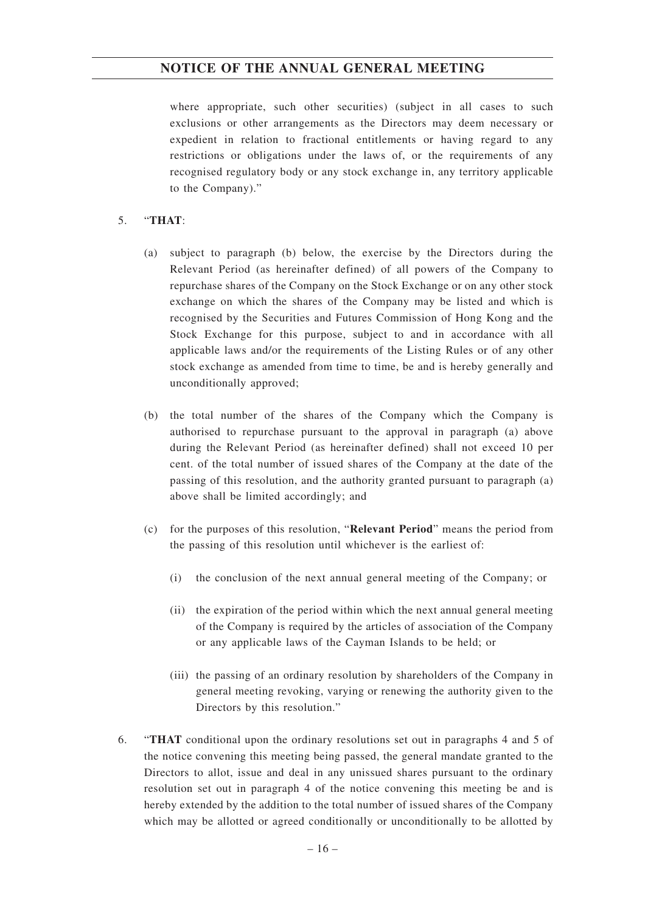where appropriate, such other securities) (subject in all cases to such exclusions or other arrangements as the Directors may deem necessary or expedient in relation to fractional entitlements or having regard to any restrictions or obligations under the laws of, or the requirements of any recognised regulatory body or any stock exchange in, any territory applicable to the Company)."

## 5. "**THAT**:

- (a) subject to paragraph (b) below, the exercise by the Directors during the Relevant Period (as hereinafter defined) of all powers of the Company to repurchase shares of the Company on the Stock Exchange or on any other stock exchange on which the shares of the Company may be listed and which is recognised by the Securities and Futures Commission of Hong Kong and the Stock Exchange for this purpose, subject to and in accordance with all applicable laws and/or the requirements of the Listing Rules or of any other stock exchange as amended from time to time, be and is hereby generally and unconditionally approved;
- (b) the total number of the shares of the Company which the Company is authorised to repurchase pursuant to the approval in paragraph (a) above during the Relevant Period (as hereinafter defined) shall not exceed 10 per cent. of the total number of issued shares of the Company at the date of the passing of this resolution, and the authority granted pursuant to paragraph (a) above shall be limited accordingly; and
- (c) for the purposes of this resolution, "**Relevant Period**" means the period from the passing of this resolution until whichever is the earliest of:
	- (i) the conclusion of the next annual general meeting of the Company; or
	- (ii) the expiration of the period within which the next annual general meeting of the Company is required by the articles of association of the Company or any applicable laws of the Cayman Islands to be held; or
	- (iii) the passing of an ordinary resolution by shareholders of the Company in general meeting revoking, varying or renewing the authority given to the Directors by this resolution."
- 6. "**THAT** conditional upon the ordinary resolutions set out in paragraphs 4 and 5 of the notice convening this meeting being passed, the general mandate granted to the Directors to allot, issue and deal in any unissued shares pursuant to the ordinary resolution set out in paragraph 4 of the notice convening this meeting be and is hereby extended by the addition to the total number of issued shares of the Company which may be allotted or agreed conditionally or unconditionally to be allotted by